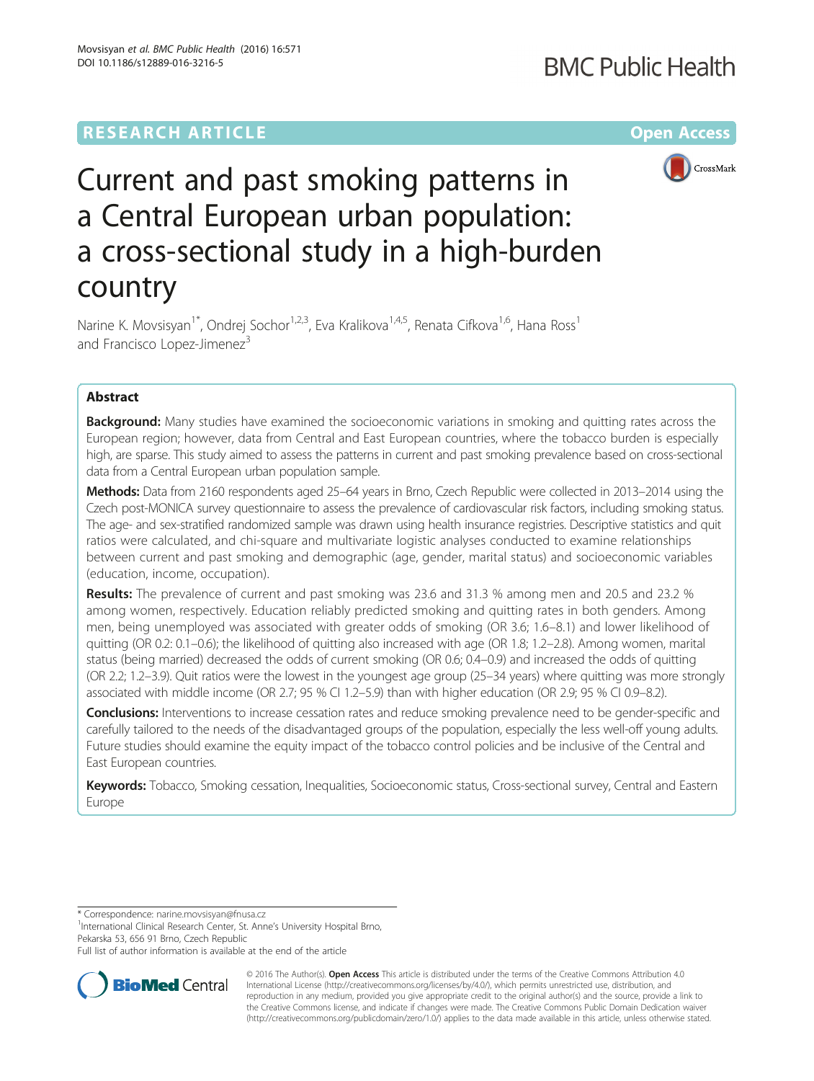## **RESEARCH ARTICLE Example 2014 12:30 The Company Access** (RESEARCH ARTICLE



# Current and past smoking patterns in a Central European urban population: a cross-sectional study in a high-burden country

Narine K. Movsisyan<sup>1\*</sup>, Ondrej Sochor<sup>1,2,3</sup>, Eva Kralikova<sup>1,4,5</sup>, Renata Cifkova<sup>1,6</sup>, Hana Ross<sup>1</sup> and Francisco Lopez-Jimenez<sup>3</sup>

## Abstract

**Background:** Many studies have examined the socioeconomic variations in smoking and quitting rates across the European region; however, data from Central and East European countries, where the tobacco burden is especially high, are sparse. This study aimed to assess the patterns in current and past smoking prevalence based on cross-sectional data from a Central European urban population sample.

Methods: Data from 2160 respondents aged 25–64 years in Brno, Czech Republic were collected in 2013–2014 using the Czech post-MONICA survey questionnaire to assess the prevalence of cardiovascular risk factors, including smoking status. The age- and sex-stratified randomized sample was drawn using health insurance registries. Descriptive statistics and quit ratios were calculated, and chi-square and multivariate logistic analyses conducted to examine relationships between current and past smoking and demographic (age, gender, marital status) and socioeconomic variables (education, income, occupation).

Results: The prevalence of current and past smoking was 23.6 and 31.3 % among men and 20.5 and 23.2 % among women, respectively. Education reliably predicted smoking and quitting rates in both genders. Among men, being unemployed was associated with greater odds of smoking (OR 3.6; 1.6–8.1) and lower likelihood of quitting (OR 0.2: 0.1–0.6); the likelihood of quitting also increased with age (OR 1.8; 1.2–2.8). Among women, marital status (being married) decreased the odds of current smoking (OR 0.6; 0.4–0.9) and increased the odds of quitting (OR 2.2; 1.2–3.9). Quit ratios were the lowest in the youngest age group (25–34 years) where quitting was more strongly associated with middle income (OR 2.7; 95 % CI 1.2–5.9) than with higher education (OR 2.9; 95 % CI 0.9–8.2).

**Conclusions:** Interventions to increase cessation rates and reduce smoking prevalence need to be gender-specific and carefully tailored to the needs of the disadvantaged groups of the population, especially the less well-off young adults. Future studies should examine the equity impact of the tobacco control policies and be inclusive of the Central and East European countries.

Keywords: Tobacco, Smoking cessation, Inequalities, Socioeconomic status, Cross-sectional survey, Central and Eastern Europe

\* Correspondence: [narine.movsisyan@fnusa.cz](mailto:narine.movsisyan@fnusa.cz) <sup>1</sup>

<sup>1</sup>International Clinical Research Center, St. Anne's University Hospital Brno, Pekarska 53, 656 91 Brno, Czech Republic

Full list of author information is available at the end of the article



© 2016 The Author(s). Open Access This article is distributed under the terms of the Creative Commons Attribution 4.0 International License [\(http://creativecommons.org/licenses/by/4.0/](http://creativecommons.org/licenses/by/4.0/)), which permits unrestricted use, distribution, and reproduction in any medium, provided you give appropriate credit to the original author(s) and the source, provide a link to the Creative Commons license, and indicate if changes were made. The Creative Commons Public Domain Dedication waiver [\(http://creativecommons.org/publicdomain/zero/1.0/](http://creativecommons.org/publicdomain/zero/1.0/)) applies to the data made available in this article, unless otherwise stated.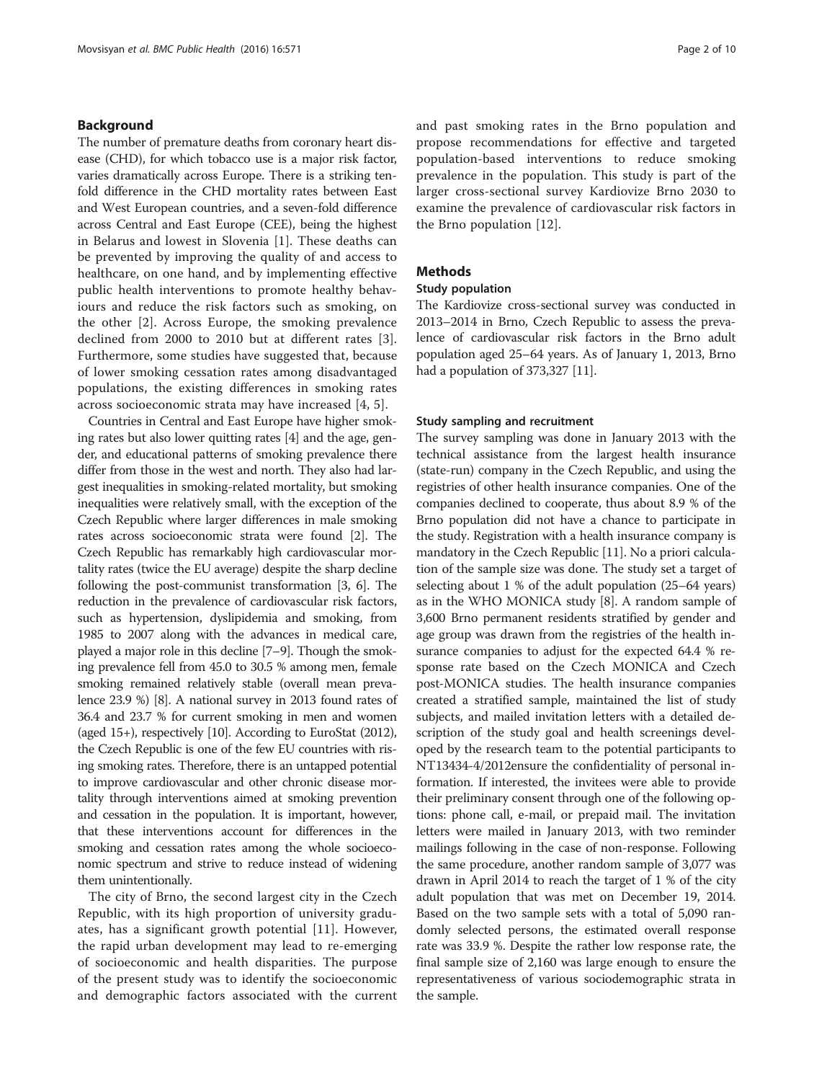## Background

The number of premature deaths from coronary heart disease (CHD), for which tobacco use is a major risk factor, varies dramatically across Europe. There is a striking tenfold difference in the CHD mortality rates between East and West European countries, and a seven-fold difference across Central and East Europe (CEE), being the highest in Belarus and lowest in Slovenia [[1\]](#page-8-0). These deaths can be prevented by improving the quality of and access to healthcare, on one hand, and by implementing effective public health interventions to promote healthy behaviours and reduce the risk factors such as smoking, on the other [\[2](#page-8-0)]. Across Europe, the smoking prevalence declined from 2000 to 2010 but at different rates [\[3](#page-8-0)]. Furthermore, some studies have suggested that, because of lower smoking cessation rates among disadvantaged populations, the existing differences in smoking rates across socioeconomic strata may have increased [[4](#page-8-0), [5\]](#page-8-0).

Countries in Central and East Europe have higher smoking rates but also lower quitting rates [\[4](#page-8-0)] and the age, gender, and educational patterns of smoking prevalence there differ from those in the west and north. They also had largest inequalities in smoking-related mortality, but smoking inequalities were relatively small, with the exception of the Czech Republic where larger differences in male smoking rates across socioeconomic strata were found [\[2](#page-8-0)]. The Czech Republic has remarkably high cardiovascular mortality rates (twice the EU average) despite the sharp decline following the post-communist transformation [[3](#page-8-0), [6](#page-8-0)]. The reduction in the prevalence of cardiovascular risk factors, such as hypertension, dyslipidemia and smoking, from 1985 to 2007 along with the advances in medical care, played a major role in this decline [[7](#page-8-0)–[9\]](#page-8-0). Though the smoking prevalence fell from 45.0 to 30.5 % among men, female smoking remained relatively stable (overall mean prevalence 23.9 %) [\[8](#page-8-0)]. A national survey in 2013 found rates of 36.4 and 23.7 % for current smoking in men and women (aged 15+), respectively [[10](#page-8-0)]. According to EuroStat (2012), the Czech Republic is one of the few EU countries with rising smoking rates. Therefore, there is an untapped potential to improve cardiovascular and other chronic disease mortality through interventions aimed at smoking prevention and cessation in the population. It is important, however, that these interventions account for differences in the smoking and cessation rates among the whole socioeconomic spectrum and strive to reduce instead of widening them unintentionally.

The city of Brno, the second largest city in the Czech Republic, with its high proportion of university graduates, has a significant growth potential [[11](#page-8-0)]. However, the rapid urban development may lead to re-emerging of socioeconomic and health disparities. The purpose of the present study was to identify the socioeconomic and demographic factors associated with the current and past smoking rates in the Brno population and propose recommendations for effective and targeted population-based interventions to reduce smoking prevalence in the population. This study is part of the larger cross-sectional survey Kardiovize Brno 2030 to examine the prevalence of cardiovascular risk factors in the Brno population [\[12](#page-8-0)].

## **Methods**

## Study population

The Kardiovize cross-sectional survey was conducted in 2013–2014 in Brno, Czech Republic to assess the prevalence of cardiovascular risk factors in the Brno adult population aged 25–64 years. As of January 1, 2013, Brno had a population of 373,327 [\[11\]](#page-8-0).

## Study sampling and recruitment

The survey sampling was done in January 2013 with the technical assistance from the largest health insurance (state-run) company in the Czech Republic, and using the registries of other health insurance companies. One of the companies declined to cooperate, thus about 8.9 % of the Brno population did not have a chance to participate in the study. Registration with a health insurance company is mandatory in the Czech Republic [[11](#page-8-0)]. No a priori calculation of the sample size was done. The study set a target of selecting about 1 % of the adult population (25–64 years) as in the WHO MONICA study [\[8\]](#page-8-0). A random sample of 3,600 Brno permanent residents stratified by gender and age group was drawn from the registries of the health insurance companies to adjust for the expected 64.4 % response rate based on the Czech MONICA and Czech post-MONICA studies. The health insurance companies created a stratified sample, maintained the list of study subjects, and mailed invitation letters with a detailed description of the study goal and health screenings developed by the research team to the potential participants to NT13434-4/2012ensure the confidentiality of personal information. If interested, the invitees were able to provide their preliminary consent through one of the following options: phone call, e-mail, or prepaid mail. The invitation letters were mailed in January 2013, with two reminder mailings following in the case of non-response. Following the same procedure, another random sample of 3,077 was drawn in April 2014 to reach the target of 1 % of the city adult population that was met on December 19, 2014. Based on the two sample sets with a total of 5,090 randomly selected persons, the estimated overall response rate was 33.9 %. Despite the rather low response rate, the final sample size of 2,160 was large enough to ensure the representativeness of various sociodemographic strata in the sample.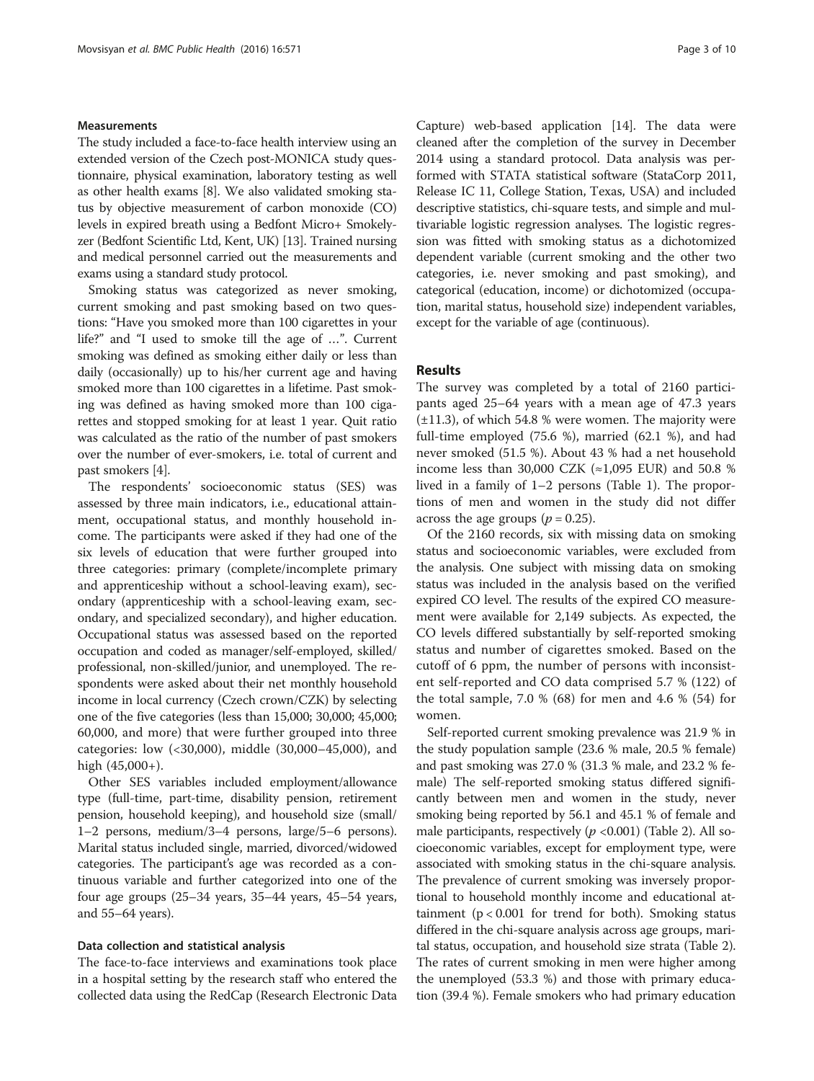## **Measurements**

The study included a face-to-face health interview using an extended version of the Czech post-MONICA study questionnaire, physical examination, laboratory testing as well as other health exams [\[8](#page-8-0)]. We also validated smoking status by objective measurement of carbon monoxide (CO) levels in expired breath using a Bedfont Micro+ Smokelyzer (Bedfont Scientific Ltd, Kent, UK) [[13](#page-8-0)]. Trained nursing and medical personnel carried out the measurements and exams using a standard study protocol.

Smoking status was categorized as never smoking, current smoking and past smoking based on two questions: "Have you smoked more than 100 cigarettes in your life?" and "I used to smoke till the age of …". Current smoking was defined as smoking either daily or less than daily (occasionally) up to his/her current age and having smoked more than 100 cigarettes in a lifetime. Past smoking was defined as having smoked more than 100 cigarettes and stopped smoking for at least 1 year. Quit ratio was calculated as the ratio of the number of past smokers over the number of ever-smokers, i.e. total of current and past smokers [[4\]](#page-8-0).

The respondents' socioeconomic status (SES) was assessed by three main indicators, i.e., educational attainment, occupational status, and monthly household income. The participants were asked if they had one of the six levels of education that were further grouped into three categories: primary (complete/incomplete primary and apprenticeship without a school-leaving exam), secondary (apprenticeship with a school-leaving exam, secondary, and specialized secondary), and higher education. Occupational status was assessed based on the reported occupation and coded as manager/self-employed, skilled/ professional, non-skilled/junior, and unemployed. The respondents were asked about their net monthly household income in local currency (Czech crown/CZK) by selecting one of the five categories (less than 15,000; 30,000; 45,000; 60,000, and more) that were further grouped into three categories: low (<30,000), middle (30,000–45,000), and high (45,000+).

Other SES variables included employment/allowance type (full-time, part-time, disability pension, retirement pension, household keeping), and household size (small/ 1–2 persons, medium/3–4 persons, large/5–6 persons). Marital status included single, married, divorced/widowed categories. The participant's age was recorded as a continuous variable and further categorized into one of the four age groups (25–34 years, 35–44 years, 45–54 years, and 55–64 years).

## Data collection and statistical analysis

The face-to-face interviews and examinations took place in a hospital setting by the research staff who entered the collected data using the RedCap (Research Electronic Data

Capture) web-based application [[14](#page-8-0)]. The data were cleaned after the completion of the survey in December 2014 using a standard protocol. Data analysis was performed with STATA statistical software (StataCorp 2011, Release IC 11, College Station, Texas, USA) and included descriptive statistics, chi-square tests, and simple and multivariable logistic regression analyses. The logistic regression was fitted with smoking status as a dichotomized dependent variable (current smoking and the other two categories, i.e. never smoking and past smoking), and categorical (education, income) or dichotomized (occupation, marital status, household size) independent variables, except for the variable of age (continuous).

## Results

The survey was completed by a total of 2160 participants aged 25–64 years with a mean age of 47.3 years (±11.3), of which 54.8 % were women. The majority were full-time employed (75.6 %), married (62.1 %), and had never smoked (51.5 %). About 43 % had a net household income less than 30,000 CZK (≈1,095 EUR) and 50.8 % lived in a family of 1–2 persons (Table [1\)](#page-3-0). The proportions of men and women in the study did not differ across the age groups ( $p = 0.25$ ).

Of the 2160 records, six with missing data on smoking status and socioeconomic variables, were excluded from the analysis. One subject with missing data on smoking status was included in the analysis based on the verified expired CO level. The results of the expired CO measurement were available for 2,149 subjects. As expected, the CO levels differed substantially by self-reported smoking status and number of cigarettes smoked. Based on the cutoff of 6 ppm, the number of persons with inconsistent self-reported and CO data comprised 5.7 % (122) of the total sample, 7.0 % (68) for men and 4.6 % (54) for women.

Self-reported current smoking prevalence was 21.9 % in the study population sample (23.6 % male, 20.5 % female) and past smoking was 27.0 % (31.3 % male, and 23.2 % female) The self-reported smoking status differed significantly between men and women in the study, never smoking being reported by 56.1 and 45.1 % of female and male participants, respectively ( $p < 0.001$ ) (Table [2\)](#page-4-0). All socioeconomic variables, except for employment type, were associated with smoking status in the chi-square analysis. The prevalence of current smoking was inversely proportional to household monthly income and educational attainment ( $p < 0.001$  for trend for both). Smoking status differed in the chi-square analysis across age groups, marital status, occupation, and household size strata (Table [2](#page-4-0)). The rates of current smoking in men were higher among the unemployed (53.3 %) and those with primary education (39.4 %). Female smokers who had primary education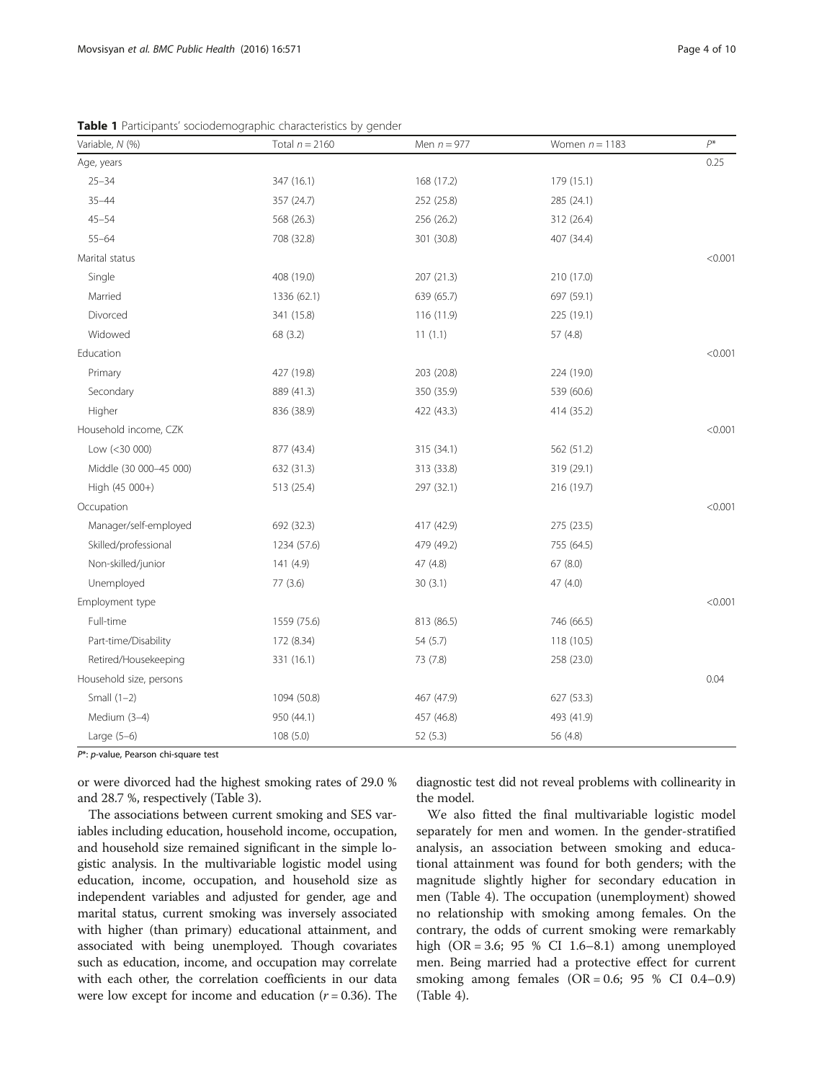| Variable, N (%)         | Total $n = 2160$ | Men $n = 977$ | Women $n = 1183$ | $P^*$   |
|-------------------------|------------------|---------------|------------------|---------|
| Age, years              |                  |               |                  | 0.25    |
| $25 - 34$               | 347 (16.1)       | 168 (17.2)    | 179 (15.1)       |         |
| $35 - 44$               | 357 (24.7)       | 252 (25.8)    | 285 (24.1)       |         |
| $45 - 54$               | 568 (26.3)       | 256 (26.2)    | 312 (26.4)       |         |
| $55 - 64$               | 708 (32.8)       | 301 (30.8)    | 407 (34.4)       |         |
| Marital status          |                  |               |                  | < 0.001 |
| Single                  | 408 (19.0)       | 207 (21.3)    | 210 (17.0)       |         |
| Married                 | 1336 (62.1)      | 639 (65.7)    | 697 (59.1)       |         |
| Divorced                | 341 (15.8)       | 116 (11.9)    | 225 (19.1)       |         |
| Widowed                 | 68 (3.2)         | 11(1.1)       | 57 (4.8)         |         |
| Education               |                  |               |                  | < 0.001 |
| Primary                 | 427 (19.8)       | 203 (20.8)    | 224 (19.0)       |         |
| Secondary               | 889 (41.3)       | 350 (35.9)    | 539 (60.6)       |         |
| Higher                  | 836 (38.9)       | 422 (43.3)    | 414 (35.2)       |         |
| Household income, CZK   |                  |               |                  | < 0.001 |
| Low (<30 000)           | 877 (43.4)       | 315 (34.1)    | 562 (51.2)       |         |
| Middle (30 000-45 000)  | 632 (31.3)       | 313 (33.8)    | 319 (29.1)       |         |
| High (45 000+)          | 513 (25.4)       | 297 (32.1)    | 216 (19.7)       |         |
| Occupation              |                  |               |                  | < 0.001 |
| Manager/self-employed   | 692 (32.3)       | 417 (42.9)    | 275 (23.5)       |         |
| Skilled/professional    | 1234 (57.6)      | 479 (49.2)    | 755 (64.5)       |         |
| Non-skilled/junior      | 141 (4.9)        | 47 (4.8)      | 67(8.0)          |         |
| Unemployed              | 77 (3.6)         | 30(3.1)       | 47 (4.0)         |         |
| Employment type         |                  |               |                  | < 0.001 |
| Full-time               | 1559 (75.6)      | 813 (86.5)    | 746 (66.5)       |         |
| Part-time/Disability    | 172 (8.34)       | 54 (5.7)      | 118 (10.5)       |         |
| Retired/Housekeeping    | 331 (16.1)       | 73 (7.8)      | 258 (23.0)       |         |
| Household size, persons |                  |               |                  | 0.04    |
| Small $(1-2)$           | 1094 (50.8)      | 467 (47.9)    | 627 (53.3)       |         |
| Medium (3-4)            | 950 (44.1)       | 457 (46.8)    | 493 (41.9)       |         |
| Large $(5-6)$           | 108(5.0)         | 52(5.3)       | 56 (4.8)         |         |

<span id="page-3-0"></span>Table 1 Participants' sociodemographic characteristics by gender

P\*: p-value, Pearson chi-square test

or were divorced had the highest smoking rates of 29.0 % and 28.7 %, respectively (Table [3](#page-5-0)).

The associations between current smoking and SES variables including education, household income, occupation, and household size remained significant in the simple logistic analysis. In the multivariable logistic model using education, income, occupation, and household size as independent variables and adjusted for gender, age and marital status, current smoking was inversely associated with higher (than primary) educational attainment, and associated with being unemployed. Though covariates such as education, income, and occupation may correlate with each other, the correlation coefficients in our data were low except for income and education  $(r = 0.36)$ . The

diagnostic test did not reveal problems with collinearity in the model.

We also fitted the final multivariable logistic model separately for men and women. In the gender-stratified analysis, an association between smoking and educational attainment was found for both genders; with the magnitude slightly higher for secondary education in men (Table [4\)](#page-6-0). The occupation (unemployment) showed no relationship with smoking among females. On the contrary, the odds of current smoking were remarkably high (OR = 3.6; 95 % CI 1.6–8.1) among unemployed men. Being married had a protective effect for current smoking among females  $(OR = 0.6; 95 % CI 0.4-0.9)$ (Table [4\)](#page-6-0).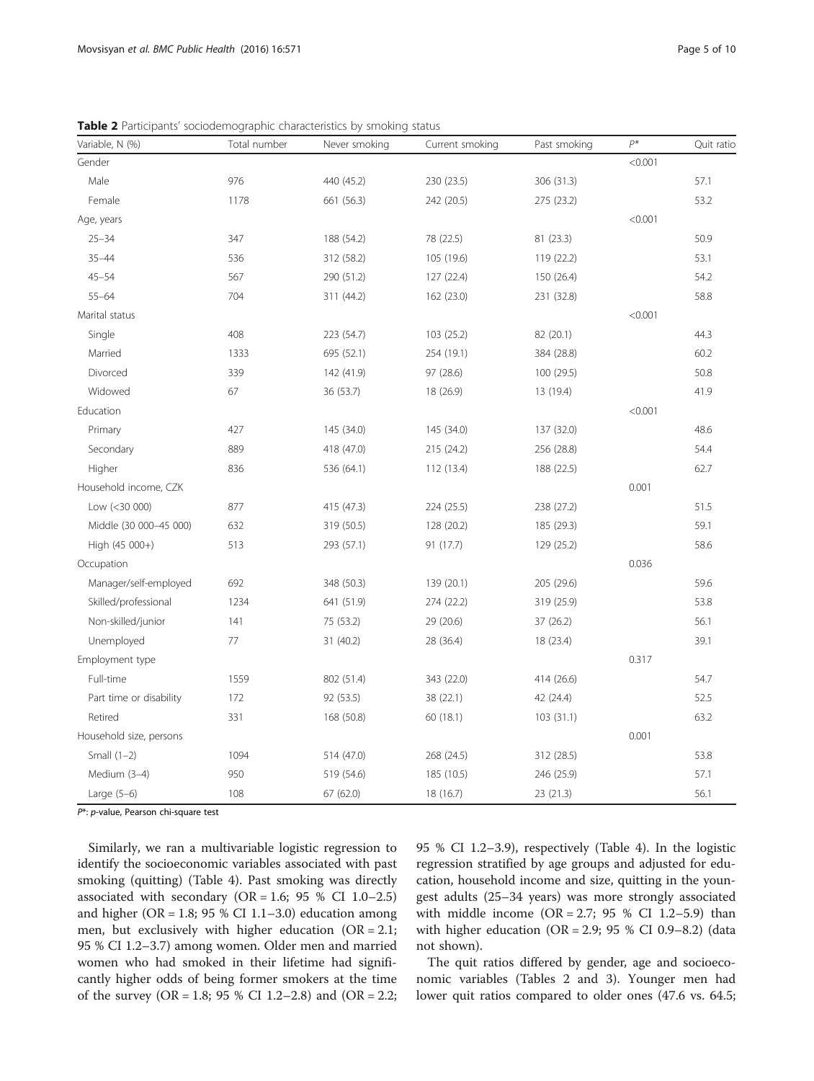| Variable, N (%)         | Total number | Never smoking | Current smoking | Past smoking | $P^*$   | Quit ratio |
|-------------------------|--------------|---------------|-----------------|--------------|---------|------------|
| Gender                  |              |               |                 |              | < 0.001 |            |
| Male                    | 976          | 440 (45.2)    | 230 (23.5)      | 306 (31.3)   |         | 57.1       |
| Female                  | 1178         | 661 (56.3)    | 242 (20.5)      | 275 (23.2)   |         | 53.2       |
| Age, years              |              |               |                 |              | < 0.001 |            |
| $25 - 34$               | 347          | 188 (54.2)    | 78 (22.5)       | 81 (23.3)    |         | 50.9       |
| $35 - 44$               | 536          | 312 (58.2)    | 105 (19.6)      | 119 (22.2)   |         | 53.1       |
| $45 - 54$               | 567          | 290 (51.2)    | 127 (22.4)      | 150 (26.4)   |         | 54.2       |
| $55 - 64$               | 704          | 311 (44.2)    | 162 (23.0)      | 231 (32.8)   |         | 58.8       |
| Marital status          |              |               |                 |              | < 0.001 |            |
| Single                  | 408          | 223 (54.7)    | 103 (25.2)      | 82 (20.1)    |         | 44.3       |
| Married                 | 1333         | 695 (52.1)    | 254 (19.1)      | 384 (28.8)   |         | 60.2       |
| Divorced                | 339          | 142 (41.9)    | 97 (28.6)       | 100 (29.5)   |         | 50.8       |
| Widowed                 | 67           | 36 (53.7)     | 18 (26.9)       | 13 (19.4)    |         | 41.9       |
| Education               |              |               |                 |              | < 0.001 |            |
| Primary                 | 427          | 145 (34.0)    | 145 (34.0)      | 137 (32.0)   |         | 48.6       |
| Secondary               | 889          | 418 (47.0)    | 215 (24.2)      | 256 (28.8)   |         | 54.4       |
| Higher                  | 836          | 536 (64.1)    | 112 (13.4)      | 188 (22.5)   |         | 62.7       |
| Household income, CZK   |              |               |                 |              | 0.001   |            |
| Low (<30 000)           | 877          | 415 (47.3)    | 224 (25.5)      | 238 (27.2)   |         | 51.5       |
| Middle (30 000-45 000)  | 632          | 319 (50.5)    | 128 (20.2)      | 185 (29.3)   |         | 59.1       |
| High (45 000+)          | 513          | 293 (57.1)    | 91 (17.7)       | 129 (25.2)   |         | 58.6       |
| Occupation              |              |               |                 |              | 0.036   |            |
| Manager/self-employed   | 692          | 348 (50.3)    | 139 (20.1)      | 205 (29.6)   |         | 59.6       |
| Skilled/professional    | 1234         | 641 (51.9)    | 274 (22.2)      | 319 (25.9)   |         | 53.8       |
| Non-skilled/junior      | 141          | 75 (53.2)     | 29 (20.6)       | 37 (26.2)    |         | 56.1       |
| Unemployed              | 77           | 31 (40.2)     | 28 (36.4)       | 18 (23.4)    |         | 39.1       |
| Employment type         |              |               |                 |              | 0.317   |            |
| Full-time               | 1559         | 802 (51.4)    | 343 (22.0)      | 414 (26.6)   |         | 54.7       |
| Part time or disability | 172          | 92 (53.5)     | 38 (22.1)       | 42 (24.4)    |         | 52.5       |
| Retired                 | 331          | 168 (50.8)    | 60 (18.1)       | 103(31.1)    |         | 63.2       |
| Household size, persons |              |               |                 |              | 0.001   |            |
| Small $(1-2)$           | 1094         | 514 (47.0)    | 268 (24.5)      | 312 (28.5)   |         | 53.8       |
| Medium (3-4)            | 950          | 519 (54.6)    | 185 (10.5)      | 246 (25.9)   |         | 57.1       |
| Large $(5-6)$           | 108          | 67 (62.0)     | 18 (16.7)       | 23(21.3)     |         | 56.1       |

<span id="page-4-0"></span>Table 2 Participants' sociodemographic characteristics by smoking status

P\*: p-value, Pearson chi-square test

Similarly, we ran a multivariable logistic regression to identify the socioeconomic variables associated with past smoking (quitting) (Table [4\)](#page-6-0). Past smoking was directly associated with secondary (OR = 1.6; 95 % CI 1.0–2.5) and higher (OR = 1.8; 95 % CI 1.1–3.0) education among men, but exclusively with higher education  $(OR = 2.1;$ 95 % CI 1.2–3.7) among women. Older men and married women who had smoked in their lifetime had significantly higher odds of being former smokers at the time of the survey (OR = 1.8; 95 % CI 1.2–2.8) and (OR = 2.2; 95 % CI 1.2–3.9), respectively (Table [4](#page-6-0)). In the logistic regression stratified by age groups and adjusted for education, household income and size, quitting in the youngest adults (25–34 years) was more strongly associated with middle income  $(OR = 2.7; 95 % CI 1.2-5.9)$  than with higher education (OR = 2.9; 95 % CI 0.9-8.2) (data not shown).

The quit ratios differed by gender, age and socioeconomic variables (Tables 2 and [3](#page-5-0)). Younger men had lower quit ratios compared to older ones (47.6 vs. 64.5;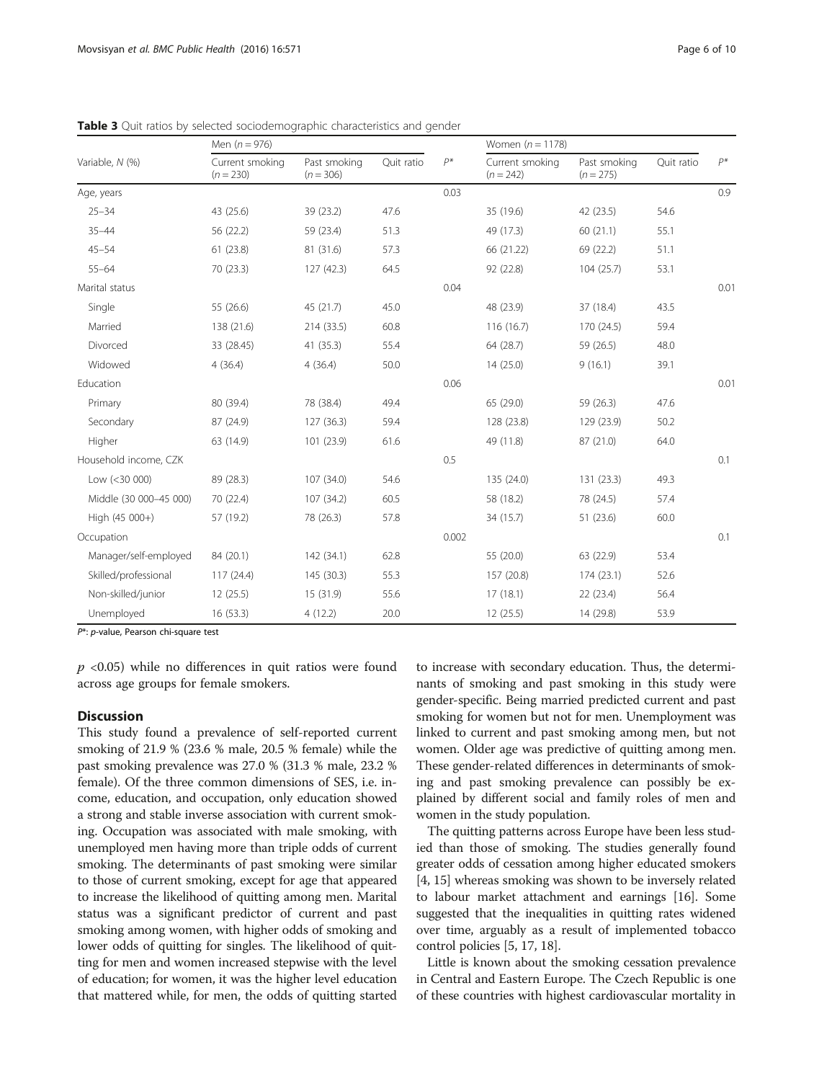| Variable, N (%)        | Men $(n = 976)$                |                             |            |       | Women $(n = 1178)$             |                             |            |       |
|------------------------|--------------------------------|-----------------------------|------------|-------|--------------------------------|-----------------------------|------------|-------|
|                        | Current smoking<br>$(n = 230)$ | Past smoking<br>$(n = 306)$ | Quit ratio | $P^*$ | Current smoking<br>$(n = 242)$ | Past smoking<br>$(n = 275)$ | Quit ratio | $P^*$ |
| Age, years             |                                |                             |            | 0.03  |                                |                             |            | 0.9   |
| $25 - 34$              | 43 (25.6)                      | 39 (23.2)                   | 47.6       |       | 35 (19.6)                      | 42 (23.5)                   | 54.6       |       |
| $35 - 44$              | 56 (22.2)                      | 59 (23.4)                   | 51.3       |       | 49 (17.3)                      | 60(21.1)                    | 55.1       |       |
| $45 - 54$              | 61(23.8)                       | 81 (31.6)                   | 57.3       |       | 66 (21.22)                     | 69 (22.2)                   | 51.1       |       |
| $55 - 64$              | 70(23.3)                       | 127(42.3)                   | 64.5       |       | 92 (22.8)                      | 104(25.7)                   | 53.1       |       |
| Marital status         |                                |                             |            | 0.04  |                                |                             |            | 0.01  |
| Single                 | 55 (26.6)                      | 45 (21.7)                   | 45.0       |       | 48 (23.9)                      | 37 (18.4)                   | 43.5       |       |
| Married                | 138 (21.6)                     | 214 (33.5)                  | 60.8       |       | 116 (16.7)                     | 170 (24.5)                  | 59.4       |       |
| Divorced               | 33 (28.45)                     | 41 (35.3)                   | 55.4       |       | 64 (28.7)                      | 59 (26.5)                   | 48.0       |       |
| Widowed                | 4(36.4)                        | 4(36.4)                     | 50.0       |       | 14(25.0)                       | 9(16.1)                     | 39.1       |       |
| Education              |                                |                             |            | 0.06  |                                |                             |            | 0.01  |
| Primary                | 80 (39.4)                      | 78 (38.4)                   | 49.4       |       | 65 (29.0)                      | 59 (26.3)                   | 47.6       |       |
| Secondary              | 87 (24.9)                      | 127(36.3)                   | 59.4       |       | 128 (23.8)                     | 129 (23.9)                  | 50.2       |       |
| Higher                 | 63 (14.9)                      | 101 (23.9)                  | 61.6       |       | 49 (11.8)                      | 87 (21.0)                   | 64.0       |       |
| Household income, CZK  |                                |                             |            | 0.5   |                                |                             |            | 0.1   |
| Low (<30 000)          | 89 (28.3)                      | 107 (34.0)                  | 54.6       |       | 135 (24.0)                     | 131(23.3)                   | 49.3       |       |
| Middle (30 000-45 000) | 70 (22.4)                      | 107 (34.2)                  | 60.5       |       | 58 (18.2)                      | 78 (24.5)                   | 57.4       |       |
| High (45 000+)         | 57 (19.2)                      | 78 (26.3)                   | 57.8       |       | 34 (15.7)                      | 51 (23.6)                   | 60.0       |       |
| Occupation             |                                |                             |            | 0.002 |                                |                             |            | 0.1   |
| Manager/self-employed  | 84 (20.1)                      | 142 (34.1)                  | 62.8       |       | 55 (20.0)                      | 63 (22.9)                   | 53.4       |       |
| Skilled/professional   | 117(24.4)                      | 145 (30.3)                  | 55.3       |       | 157 (20.8)                     | 174(23.1)                   | 52.6       |       |
| Non-skilled/junior     | 12(25.5)                       | 15 (31.9)                   | 55.6       |       | 17(18.1)                       | 22(23.4)                    | 56.4       |       |
| Unemployed             | 16(53.3)                       | 4(12.2)                     | 20.0       |       | 12(25.5)                       | 14 (29.8)                   | 53.9       |       |

<span id="page-5-0"></span>Table 3 Quit ratios by selected sociodemographic characteristics and gender

P\*: p-value, Pearson chi-square test

 $p \leq 0.05$ ) while no differences in quit ratios were found across age groups for female smokers.

## **Discussion**

This study found a prevalence of self-reported current smoking of 21.9 % (23.6 % male, 20.5 % female) while the past smoking prevalence was 27.0 % (31.3 % male, 23.2 % female). Of the three common dimensions of SES, i.e. income, education, and occupation, only education showed a strong and stable inverse association with current smoking. Occupation was associated with male smoking, with unemployed men having more than triple odds of current smoking. The determinants of past smoking were similar to those of current smoking, except for age that appeared to increase the likelihood of quitting among men. Marital status was a significant predictor of current and past smoking among women, with higher odds of smoking and lower odds of quitting for singles. The likelihood of quitting for men and women increased stepwise with the level of education; for women, it was the higher level education that mattered while, for men, the odds of quitting started

to increase with secondary education. Thus, the determinants of smoking and past smoking in this study were gender-specific. Being married predicted current and past smoking for women but not for men. Unemployment was linked to current and past smoking among men, but not women. Older age was predictive of quitting among men. These gender-related differences in determinants of smoking and past smoking prevalence can possibly be explained by different social and family roles of men and women in the study population.

The quitting patterns across Europe have been less studied than those of smoking. The studies generally found greater odds of cessation among higher educated smokers [[4, 15](#page-8-0)] whereas smoking was shown to be inversely related to labour market attachment and earnings [[16\]](#page-9-0). Some suggested that the inequalities in quitting rates widened over time, arguably as a result of implemented tobacco control policies [[5,](#page-8-0) [17, 18](#page-9-0)].

Little is known about the smoking cessation prevalence in Central and Eastern Europe. The Czech Republic is one of these countries with highest cardiovascular mortality in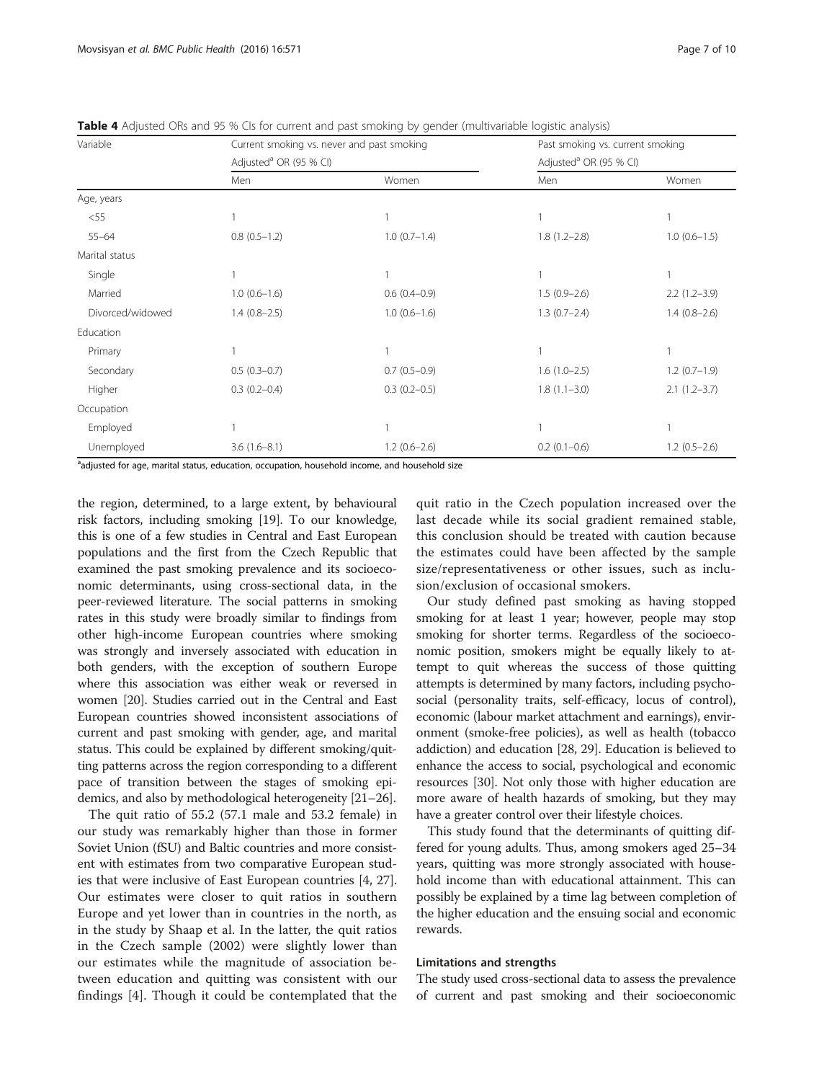| Variable         | Current smoking vs. never and past smoking |                  |                  | Past smoking vs. current smoking<br>Adjusted <sup>a</sup> OR (95 % CI) |  |  |
|------------------|--------------------------------------------|------------------|------------------|------------------------------------------------------------------------|--|--|
|                  | Adjusted <sup>a</sup> OR (95 % CI)         |                  |                  |                                                                        |  |  |
|                  | Men                                        | Women            | Men              | Women                                                                  |  |  |
| Age, years       |                                            |                  |                  |                                                                        |  |  |
| $<$ 55           |                                            |                  |                  |                                                                        |  |  |
| $55 - 64$        | $0.8(0.5-1.2)$                             | $1.0(0.7-1.4)$   | $1.8(1.2 - 2.8)$ | $1.0(0.6-1.5)$                                                         |  |  |
| Marital status   |                                            |                  |                  |                                                                        |  |  |
| Single           |                                            |                  | 1                |                                                                        |  |  |
| Married          | $1.0(0.6-1.6)$                             | $0.6(0.4-0.9)$   | $1.5(0.9-2.6)$   | $2.2(1.2-3.9)$                                                         |  |  |
| Divorced/widowed | $1.4(0.8-2.5)$                             | $1.0(0.6-1.6)$   | $1.3(0.7-2.4)$   | $1.4(0.8-2.6)$                                                         |  |  |
| Education        |                                            |                  |                  |                                                                        |  |  |
| Primary          |                                            |                  |                  |                                                                        |  |  |
| Secondary        | $0.5(0.3-0.7)$                             | $0.7(0.5-0.9)$   | $1.6(1.0-2.5)$   | $1.2(0.7-1.9)$                                                         |  |  |
| Higher           | $0.3(0.2 - 0.4)$                           | $0.3(0.2 - 0.5)$ | $1.8(1.1 - 3.0)$ | $2.1(1.2-3.7)$                                                         |  |  |
| Occupation       |                                            |                  |                  |                                                                        |  |  |
| Employed         |                                            | $\mathbf{1}$     |                  |                                                                        |  |  |
| Unemployed       | $3.6(1.6-8.1)$                             | $1.2(0.6-2.6)$   | $0.2(0.1-0.6)$   | $1.2(0.5-2.6)$                                                         |  |  |

<span id="page-6-0"></span>Table 4 Adjusted ORs and 95 % CIs for current and past smoking by gender (multivariable logistic analysis)

<sup>a</sup>adjusted for age, marital status, education, occupation, household income, and household size

the region, determined, to a large extent, by behavioural risk factors, including smoking [\[19\]](#page-9-0). To our knowledge, this is one of a few studies in Central and East European populations and the first from the Czech Republic that examined the past smoking prevalence and its socioeconomic determinants, using cross-sectional data, in the peer-reviewed literature. The social patterns in smoking rates in this study were broadly similar to findings from other high-income European countries where smoking was strongly and inversely associated with education in both genders, with the exception of southern Europe where this association was either weak or reversed in women [\[20\]](#page-9-0). Studies carried out in the Central and East European countries showed inconsistent associations of current and past smoking with gender, age, and marital status. This could be explained by different smoking/quitting patterns across the region corresponding to a different pace of transition between the stages of smoking epidemics, and also by methodological heterogeneity [[21](#page-9-0)–[26\]](#page-9-0).

The quit ratio of 55.2 (57.1 male and 53.2 female) in our study was remarkably higher than those in former Soviet Union (fSU) and Baltic countries and more consistent with estimates from two comparative European studies that were inclusive of East European countries [[4](#page-8-0), [27](#page-9-0)]. Our estimates were closer to quit ratios in southern Europe and yet lower than in countries in the north, as in the study by Shaap et al. In the latter, the quit ratios in the Czech sample (2002) were slightly lower than our estimates while the magnitude of association between education and quitting was consistent with our findings [[4\]](#page-8-0). Though it could be contemplated that the

quit ratio in the Czech population increased over the last decade while its social gradient remained stable, this conclusion should be treated with caution because the estimates could have been affected by the sample size/representativeness or other issues, such as inclusion/exclusion of occasional smokers.

Our study defined past smoking as having stopped smoking for at least 1 year; however, people may stop smoking for shorter terms. Regardless of the socioeconomic position, smokers might be equally likely to attempt to quit whereas the success of those quitting attempts is determined by many factors, including psychosocial (personality traits, self-efficacy, locus of control), economic (labour market attachment and earnings), environment (smoke-free policies), as well as health (tobacco addiction) and education [[28](#page-9-0), [29\]](#page-9-0). Education is believed to enhance the access to social, psychological and economic resources [\[30\]](#page-9-0). Not only those with higher education are more aware of health hazards of smoking, but they may have a greater control over their lifestyle choices.

This study found that the determinants of quitting differed for young adults. Thus, among smokers aged 25–34 years, quitting was more strongly associated with household income than with educational attainment. This can possibly be explained by a time lag between completion of the higher education and the ensuing social and economic rewards.

## Limitations and strengths

The study used cross-sectional data to assess the prevalence of current and past smoking and their socioeconomic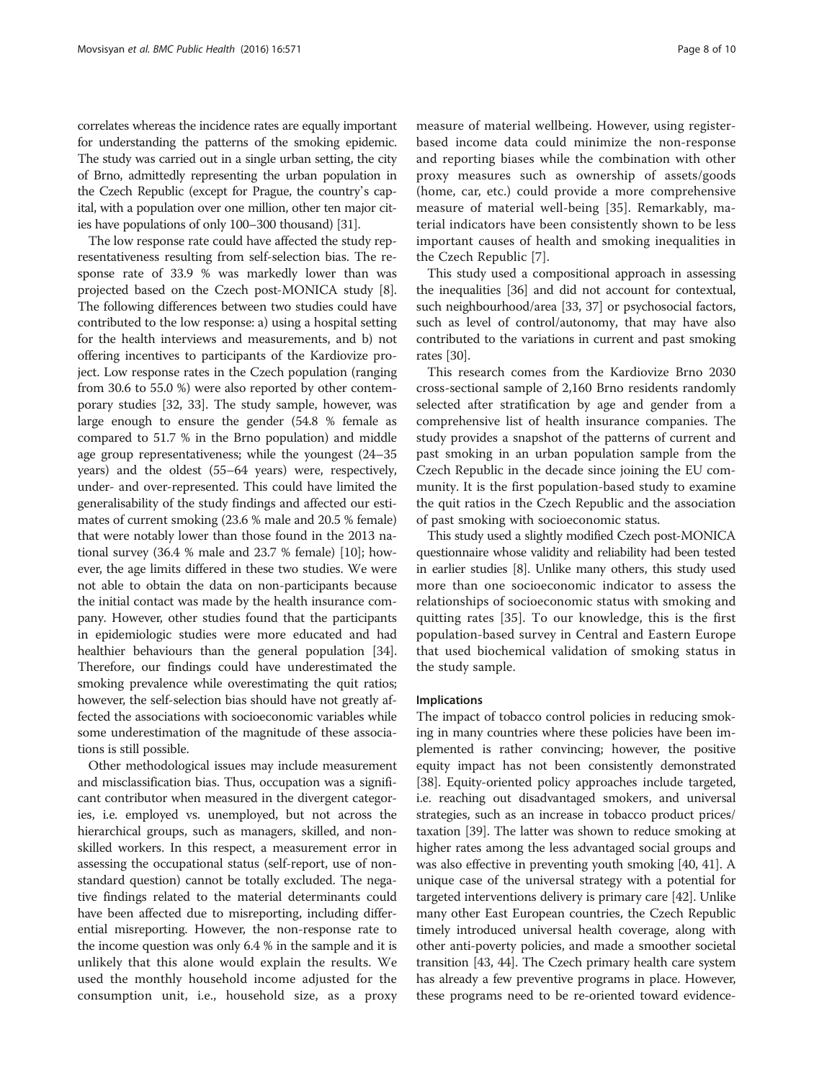correlates whereas the incidence rates are equally important for understanding the patterns of the smoking epidemic. The study was carried out in a single urban setting, the city of Brno, admittedly representing the urban population in the Czech Republic (except for Prague, the country's capital, with a population over one million, other ten major cities have populations of only 100–300 thousand) [\[31\]](#page-9-0).

The low response rate could have affected the study representativeness resulting from self-selection bias. The response rate of 33.9 % was markedly lower than was projected based on the Czech post-MONICA study [[8](#page-8-0)]. The following differences between two studies could have contributed to the low response: a) using a hospital setting for the health interviews and measurements, and b) not offering incentives to participants of the Kardiovize project. Low response rates in the Czech population (ranging from 30.6 to 55.0 %) were also reported by other contemporary studies [[32](#page-9-0), [33](#page-9-0)]. The study sample, however, was large enough to ensure the gender (54.8 % female as compared to 51.7 % in the Brno population) and middle age group representativeness; while the youngest (24–35 years) and the oldest (55–64 years) were, respectively, under- and over-represented. This could have limited the generalisability of the study findings and affected our estimates of current smoking (23.6 % male and 20.5 % female) that were notably lower than those found in the 2013 national survey (36.4 % male and 23.7 % female) [[10](#page-8-0)]; however, the age limits differed in these two studies. We were not able to obtain the data on non-participants because the initial contact was made by the health insurance company. However, other studies found that the participants in epidemiologic studies were more educated and had healthier behaviours than the general population [[34](#page-9-0)]. Therefore, our findings could have underestimated the smoking prevalence while overestimating the quit ratios; however, the self-selection bias should have not greatly affected the associations with socioeconomic variables while some underestimation of the magnitude of these associations is still possible.

Other methodological issues may include measurement and misclassification bias. Thus, occupation was a significant contributor when measured in the divergent categories, i.e. employed vs. unemployed, but not across the hierarchical groups, such as managers, skilled, and nonskilled workers. In this respect, a measurement error in assessing the occupational status (self-report, use of nonstandard question) cannot be totally excluded. The negative findings related to the material determinants could have been affected due to misreporting, including differential misreporting. However, the non-response rate to the income question was only 6.4 % in the sample and it is unlikely that this alone would explain the results. We used the monthly household income adjusted for the consumption unit, i.e., household size, as a proxy

measure of material wellbeing. However, using registerbased income data could minimize the non-response and reporting biases while the combination with other proxy measures such as ownership of assets/goods (home, car, etc.) could provide a more comprehensive measure of material well-being [\[35](#page-9-0)]. Remarkably, material indicators have been consistently shown to be less important causes of health and smoking inequalities in the Czech Republic [[7\]](#page-8-0).

This study used a compositional approach in assessing the inequalities [[36](#page-9-0)] and did not account for contextual, such neighbourhood/area [[33](#page-9-0), [37](#page-9-0)] or psychosocial factors, such as level of control/autonomy, that may have also contributed to the variations in current and past smoking rates [\[30](#page-9-0)].

This research comes from the Kardiovize Brno 2030 cross-sectional sample of 2,160 Brno residents randomly selected after stratification by age and gender from a comprehensive list of health insurance companies. The study provides a snapshot of the patterns of current and past smoking in an urban population sample from the Czech Republic in the decade since joining the EU community. It is the first population-based study to examine the quit ratios in the Czech Republic and the association of past smoking with socioeconomic status.

This study used a slightly modified Czech post-MONICA questionnaire whose validity and reliability had been tested in earlier studies [\[8\]](#page-8-0). Unlike many others, this study used more than one socioeconomic indicator to assess the relationships of socioeconomic status with smoking and quitting rates [\[35](#page-9-0)]. To our knowledge, this is the first population-based survey in Central and Eastern Europe that used biochemical validation of smoking status in the study sample.

## Implications

The impact of tobacco control policies in reducing smoking in many countries where these policies have been implemented is rather convincing; however, the positive equity impact has not been consistently demonstrated [[38](#page-9-0)]. Equity-oriented policy approaches include targeted, i.e. reaching out disadvantaged smokers, and universal strategies, such as an increase in tobacco product prices/ taxation [[39](#page-9-0)]. The latter was shown to reduce smoking at higher rates among the less advantaged social groups and was also effective in preventing youth smoking [\[40, 41\]](#page-9-0). A unique case of the universal strategy with a potential for targeted interventions delivery is primary care [[42](#page-9-0)]. Unlike many other East European countries, the Czech Republic timely introduced universal health coverage, along with other anti-poverty policies, and made a smoother societal transition [\[43, 44\]](#page-9-0). The Czech primary health care system has already a few preventive programs in place. However, these programs need to be re-oriented toward evidence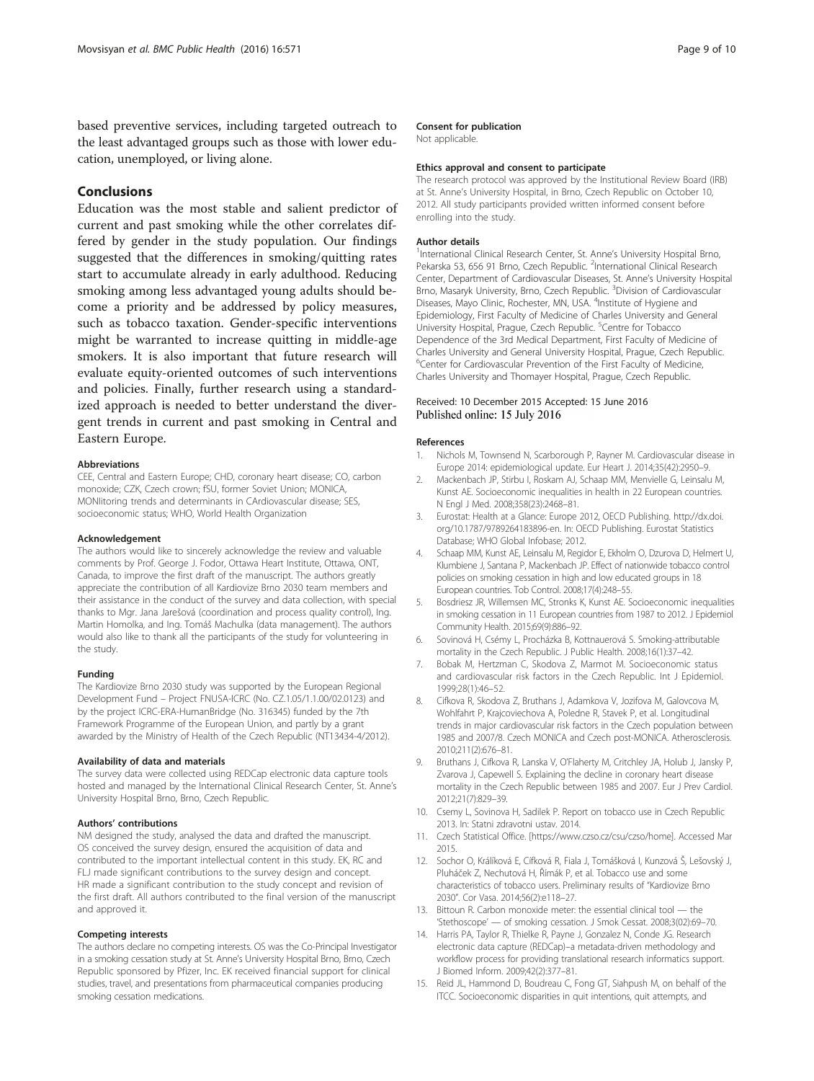<span id="page-8-0"></span>based preventive services, including targeted outreach to the least advantaged groups such as those with lower education, unemployed, or living alone.

## Conclusions

Education was the most stable and salient predictor of current and past smoking while the other correlates differed by gender in the study population. Our findings suggested that the differences in smoking/quitting rates start to accumulate already in early adulthood. Reducing smoking among less advantaged young adults should become a priority and be addressed by policy measures, such as tobacco taxation. Gender-specific interventions might be warranted to increase quitting in middle-age smokers. It is also important that future research will evaluate equity-oriented outcomes of such interventions and policies. Finally, further research using a standardized approach is needed to better understand the divergent trends in current and past smoking in Central and Eastern Europe.

#### Abbreviations

CEE, Central and Eastern Europe; CHD, coronary heart disease; CO, carbon monoxide; CZK, Czech crown; fSU, former Soviet Union; MONICA, MONIitoring trends and determinants in CArdiovascular disease; SES, socioeconomic status; WHO, World Health Organization

#### Acknowledgement

The authors would like to sincerely acknowledge the review and valuable comments by Prof. George J. Fodor, Ottawa Heart Institute, Ottawa, ONT, Canada, to improve the first draft of the manuscript. The authors greatly appreciate the contribution of all Kardiovize Brno 2030 team members and their assistance in the conduct of the survey and data collection, with special thanks to Mgr. Jana Jarešová (coordination and process quality control), Ing. Martin Homolka, and Ing. Tomáš Machulka (data management). The authors would also like to thank all the participants of the study for volunteering in the study.

#### Funding

The Kardiovize Brno 2030 study was supported by the European Regional Development Fund – Project FNUSA-ICRC (No. CZ.1.05/1.1.00/02.0123) and by the project ICRC-ERA-HumanBridge (No. 316345) funded by the 7th Framework Programme of the European Union, and partly by a grant awarded by the Ministry of Health of the Czech Republic (NT13434-4/2012).

#### Availability of data and materials

The survey data were collected using REDCap electronic data capture tools hosted and managed by the International Clinical Research Center, St. Anne's University Hospital Brno, Brno, Czech Republic.

#### Authors' contributions

NM designed the study, analysed the data and drafted the manuscript. OS conceived the survey design, ensured the acquisition of data and contributed to the important intellectual content in this study. EK, RC and FLJ made significant contributions to the survey design and concept. HR made a significant contribution to the study concept and revision of the first draft. All authors contributed to the final version of the manuscript and approved it.

#### Competing interests

The authors declare no competing interests. OS was the Co-Principal Investigator in a smoking cessation study at St. Anne's University Hospital Brno, Brno, Czech Republic sponsored by Pfizer, Inc. EK received financial support for clinical studies, travel, and presentations from pharmaceutical companies producing smoking cessation medications.

## Consent for publication

Not applicable.

#### Ethics approval and consent to participate

The research protocol was approved by the Institutional Review Board (IRB) at St. Anne's University Hospital, in Brno, Czech Republic on October 10, 2012. All study participants provided written informed consent before enrolling into the study.

#### Author details

<sup>1</sup>International Clinical Research Center, St. Anne's University Hospital Brno, Pekarska 53, 656 91 Brno, Czech Republic. <sup>2</sup>International Clinical Research Center, Department of Cardiovascular Diseases, St. Anne's University Hospital Brno, Masaryk University, Brno, Czech Republic.<sup>3</sup> Division of Cardiovascular Diseases, Mayo Clinic, Rochester, MN, USA. <sup>4</sup>Institute of Hygiene and Epidemiology, First Faculty of Medicine of Charles University and General University Hospital, Prague, Czech Republic.<sup>5</sup> Centre for Tobacco Dependence of the 3rd Medical Department, First Faculty of Medicine of Charles University and General University Hospital, Prague, Czech Republic. 6 Center for Cardiovascular Prevention of the First Faculty of Medicine, Charles University and Thomayer Hospital, Prague, Czech Republic.

## Received: 10 December 2015 Accepted: 15 June 2016 Published online: 15 July 2016

#### References

- 1. Nichols M, Townsend N, Scarborough P, Rayner M. Cardiovascular disease in Europe 2014: epidemiological update. Eur Heart J. 2014;35(42):2950–9.
- 2. Mackenbach JP, Stirbu I, Roskam AJ, Schaap MM, Menvielle G, Leinsalu M, Kunst AE. Socioeconomic inequalities in health in 22 European countries. N Engl J Med. 2008;358(23):2468–81.
- 3. Eurostat: Health at a Glance: Europe 2012, OECD Publishing. [http://dx.doi.](http://dx.doi.org/10.1787/9789264183896-en) [org/10.1787/9789264183896-en.](http://dx.doi.org/10.1787/9789264183896-en) In: OECD Publishing. Eurostat Statistics Database; WHO Global Infobase; 2012.
- 4. Schaap MM, Kunst AE, Leinsalu M, Regidor E, Ekholm O, Dzurova D, Helmert U, Klumbiene J, Santana P, Mackenbach JP. Effect of nationwide tobacco control policies on smoking cessation in high and low educated groups in 18 European countries. Tob Control. 2008;17(4):248–55.
- 5. Bosdriesz JR, Willemsen MC, Stronks K, Kunst AE. Socioeconomic inequalities in smoking cessation in 11 European countries from 1987 to 2012. J Epidemiol Community Health. 2015;69(9):886–92.
- 6. Sovinová H, Csémy L, Procházka B, Kottnauerová S. Smoking-attributable mortality in the Czech Republic. J Public Health. 2008;16(1):37–42.
- 7. Bobak M, Hertzman C, Skodova Z, Marmot M. Socioeconomic status and cardiovascular risk factors in the Czech Republic. Int J Epidemiol. 1999;28(1):46–52.
- 8. Cifkova R, Skodova Z, Bruthans J, Adamkova V, Jozifova M, Galovcova M, Wohlfahrt P, Krajcoviechova A, Poledne R, Stavek P, et al. Longitudinal trends in major cardiovascular risk factors in the Czech population between 1985 and 2007/8. Czech MONICA and Czech post-MONICA. Atherosclerosis. 2010;211(2):676–81.
- 9. Bruthans J, Cifkova R, Lanska V, O'Flaherty M, Critchley JA, Holub J, Jansky P, Zvarova J, Capewell S. Explaining the decline in coronary heart disease mortality in the Czech Republic between 1985 and 2007. Eur J Prev Cardiol. 2012;21(7):829–39.
- 10. Csemy L, Sovinova H, Sadilek P. Report on tobacco use in Czech Republic 2013. In: Statni zdravotni ustav. 2014.
- 11. Czech Statistical Office. [\[https://www.czso.cz/csu/czso/home\]](https://www.czso.cz/csu/czso/home). Accessed Mar 2015.
- 12. Sochor O, Králíková E, Cífková R, Fiala J, Tomášková I, Kunzová Š, Lešovský J, Pluháček Z, Nechutová H, Římák P, et al. Tobacco use and some characteristics of tobacco users. Preliminary results of "Kardiovize Brno 2030". Cor Vasa. 2014;56(2):e118–27.
- 13. Bittoun R. Carbon monoxide meter: the essential clinical tool the 'Stethoscope' — of smoking cessation. J Smok Cessat. 2008;3(02):69–70.
- 14. Harris PA, Taylor R, Thielke R, Payne J, Gonzalez N, Conde JG. Research electronic data capture (REDCap)–a metadata-driven methodology and workflow process for providing translational research informatics support. J Biomed Inform. 2009;42(2):377–81.
- 15. Reid JL, Hammond D, Boudreau C, Fong GT, Siahpush M, on behalf of the ITCC. Socioeconomic disparities in quit intentions, quit attempts, and